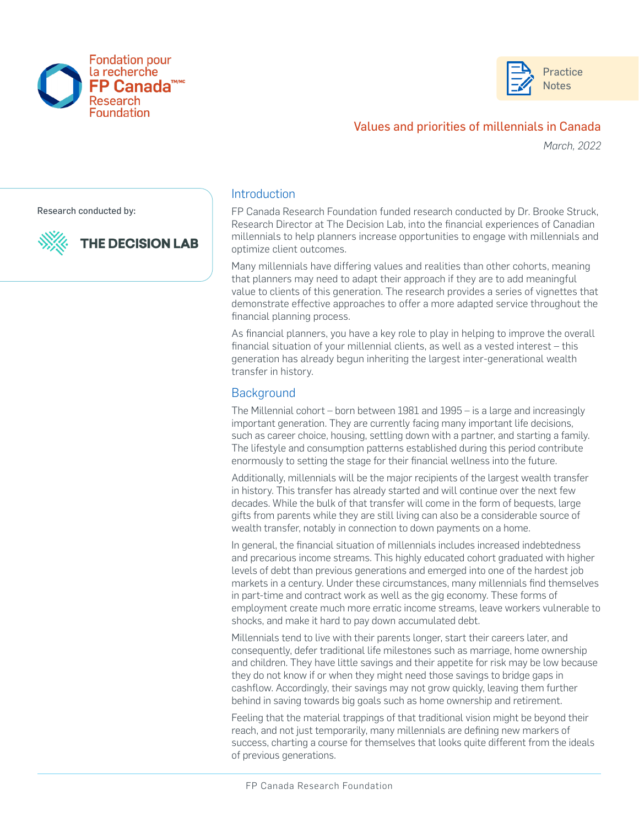



# Values and priorities of millennials in Canada

*March, 2022*

Research conducted by:

**THE DECISION LAB** 



#### **Introduction**

FP Canada Research Foundation funded research conducted by Dr. Brooke Struck, Research Director at The Decision Lab, into the financial experiences of Canadian millennials to help planners increase opportunities to engage with millennials and optimize client outcomes.

Many millennials have differing values and realities than other cohorts, meaning that planners may need to adapt their approach if they are to add meaningful value to clients of this generation. The research provides a series of vignettes that demonstrate effective approaches to offer a more adapted service throughout the financial planning process.

As financial planners, you have a key role to play in helping to improve the overall financial situation of your millennial clients, as well as a vested interest – this generation has already begun inheriting the largest inter-generational wealth transfer in history.

### **Background**

The Millennial cohort – born between 1981 and 1995 – is a large and increasingly important generation. They are currently facing many important life decisions, such as career choice, housing, settling down with a partner, and starting a family. The lifestyle and consumption patterns established during this period contribute enormously to setting the stage for their financial wellness into the future.

Additionally, millennials will be the major recipients of the largest wealth transfer in history. This transfer has already started and will continue over the next few decades. While the bulk of that transfer will come in the form of bequests, large gifts from parents while they are still living can also be a considerable source of wealth transfer, notably in connection to down payments on a home.

In general, the financial situation of millennials includes increased indebtedness and precarious income streams. This highly educated cohort graduated with higher levels of debt than previous generations and emerged into one of the hardest job markets in a century. Under these circumstances, many millennials find themselves in part-time and contract work as well as the gig economy. These forms of employment create much more erratic income streams, leave workers vulnerable to shocks, and make it hard to pay down accumulated debt.

Millennials tend to live with their parents longer, start their careers later, and consequently, defer traditional life milestones such as marriage, home ownership and children. They have little savings and their appetite for risk may be low because they do not know if or when they might need those savings to bridge gaps in cashflow. Accordingly, their savings may not grow quickly, leaving them further behind in saving towards big goals such as home ownership and retirement.

Feeling that the material trappings of that traditional vision might be beyond their reach, and not just temporarily, many millennials are defining new markers of success, charting a course for themselves that looks quite different from the ideals of previous generations.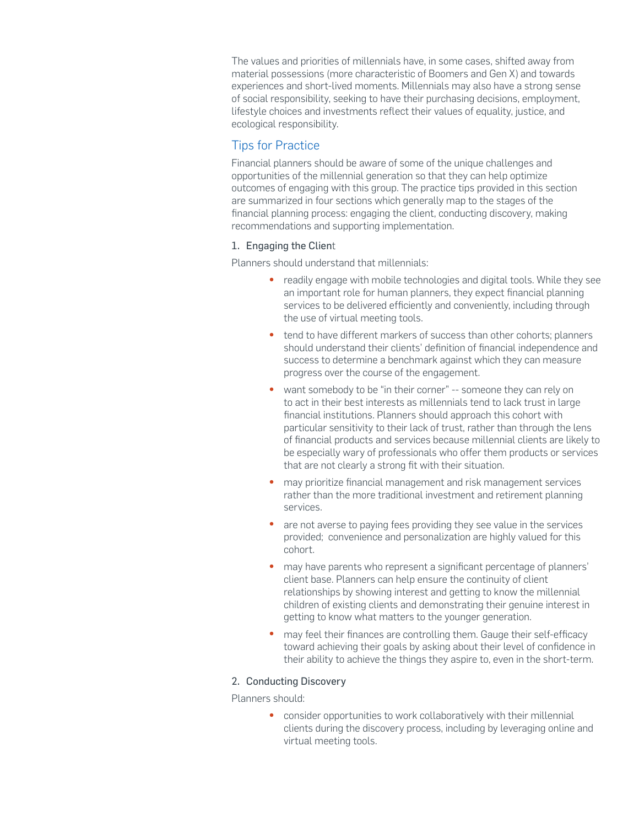The values and priorities of millennials have, in some cases, shifted away from material possessions (more characteristic of Boomers and Gen X) and towards experiences and short-lived moments. Millennials may also have a strong sense of social responsibility, seeking to have their purchasing decisions, employment, lifestyle choices and investments reflect their values of equality, justice, and ecological responsibility.

## Tips for Practice

Financial planners should be aware of some of the unique challenges and opportunities of the millennial generation so that they can help optimize outcomes of engaging with this group. The practice tips provided in this section are summarized in four sections which generally map to the stages of the financial planning process: engaging the client, conducting discovery, making recommendations and supporting implementation.

### 1. Engaging the Client

Planners should understand that millennials:

- readily engage with mobile technologies and digital tools. While they see an important role for human planners, they expect financial planning services to be delivered efficiently and conveniently, including through the use of virtual meeting tools.
- tend to have different markers of success than other cohorts; planners should understand their clients' definition of financial independence and success to determine a benchmark against which they can measure progress over the course of the engagement.
- want somebody to be "in their corner" -- someone they can rely on to act in their best interests as millennials tend to lack trust in large financial institutions. Planners should approach this cohort with particular sensitivity to their lack of trust, rather than through the lens of financial products and services because millennial clients are likely to be especially wary of professionals who offer them products or services that are not clearly a strong fit with their situation.
- may prioritize financial management and risk management services rather than the more traditional investment and retirement planning services.
- are not averse to paying fees providing they see value in the services provided; convenience and personalization are highly valued for this cohort.
- may have parents who represent a significant percentage of planners' client base. Planners can help ensure the continuity of client relationships by showing interest and getting to know the millennial children of existing clients and demonstrating their genuine interest in getting to know what matters to the younger generation.
- may feel their finances are controlling them. Gauge their self-efficacy toward achieving their goals by asking about their level of confidence in their ability to achieve the things they aspire to, even in the short-term.

#### 2. Conducting Discovery

Planners should:

• consider opportunities to work collaboratively with their millennial clients during the discovery process, including by leveraging online and virtual meeting tools.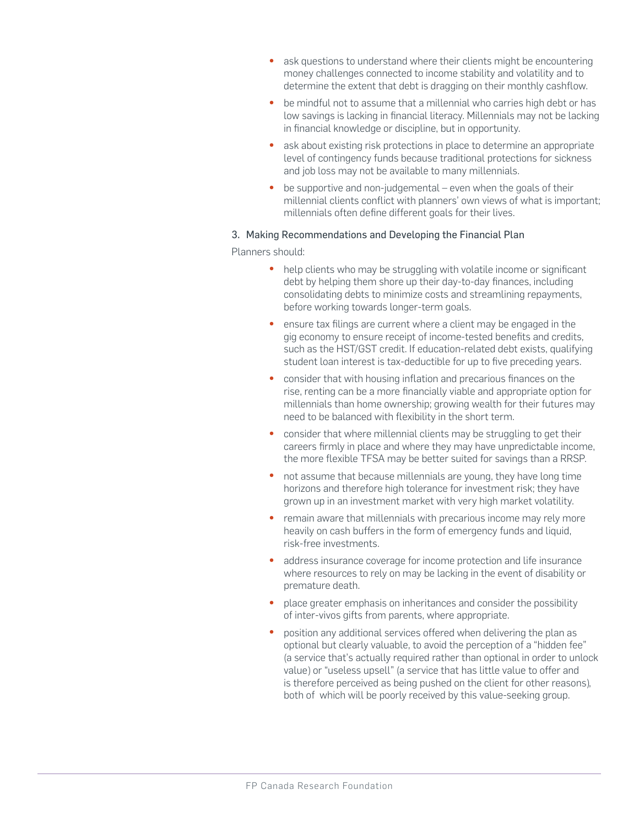- ask questions to understand where their clients might be encountering money challenges connected to income stability and volatility and to determine the extent that debt is dragging on their monthly cashflow.
- be mindful not to assume that a millennial who carries high debt or has low savings is lacking in financial literacy. Millennials may not be lacking in financial knowledge or discipline, but in opportunity.
- ask about existing risk protections in place to determine an appropriate level of contingency funds because traditional protections for sickness and job loss may not be available to many millennials.
- be supportive and non-judgemental even when the goals of their millennial clients conflict with planners' own views of what is important; millennials often define different goals for their lives.

### 3. Making Recommendations and Developing the Financial Plan

Planners should:

- help clients who may be struggling with volatile income or significant debt by helping them shore up their day-to-day finances, including consolidating debts to minimize costs and streamlining repayments, before working towards longer-term goals.
- ensure tax filings are current where a client may be engaged in the gig economy to ensure receipt of income-tested benefits and credits, such as the HST/GST credit. If education-related debt exists, qualifying student loan interest is tax-deductible for up to five preceding years.
- consider that with housing inflation and precarious finances on the rise, renting can be a more financially viable and appropriate option for millennials than home ownership; growing wealth for their futures may need to be balanced with flexibility in the short term.
- consider that where millennial clients may be struggling to get their careers firmly in place and where they may have unpredictable income, the more flexible TFSA may be better suited for savings than a RRSP.
- not assume that because millennials are young, they have long time horizons and therefore high tolerance for investment risk; they have grown up in an investment market with very high market volatility.
- remain aware that millennials with precarious income may rely more heavily on cash buffers in the form of emergency funds and liquid, risk-free investments.
- address insurance coverage for income protection and life insurance where resources to rely on may be lacking in the event of disability or premature death.
- place greater emphasis on inheritances and consider the possibility of inter-vivos gifts from parents, where appropriate.
- position any additional services offered when delivering the plan as optional but clearly valuable, to avoid the perception of a "hidden fee" (a service that's actually required rather than optional in order to unlock value) or "useless upsell" (a service that has little value to offer and is therefore perceived as being pushed on the client for other reasons), both of which will be poorly received by this value-seeking group.